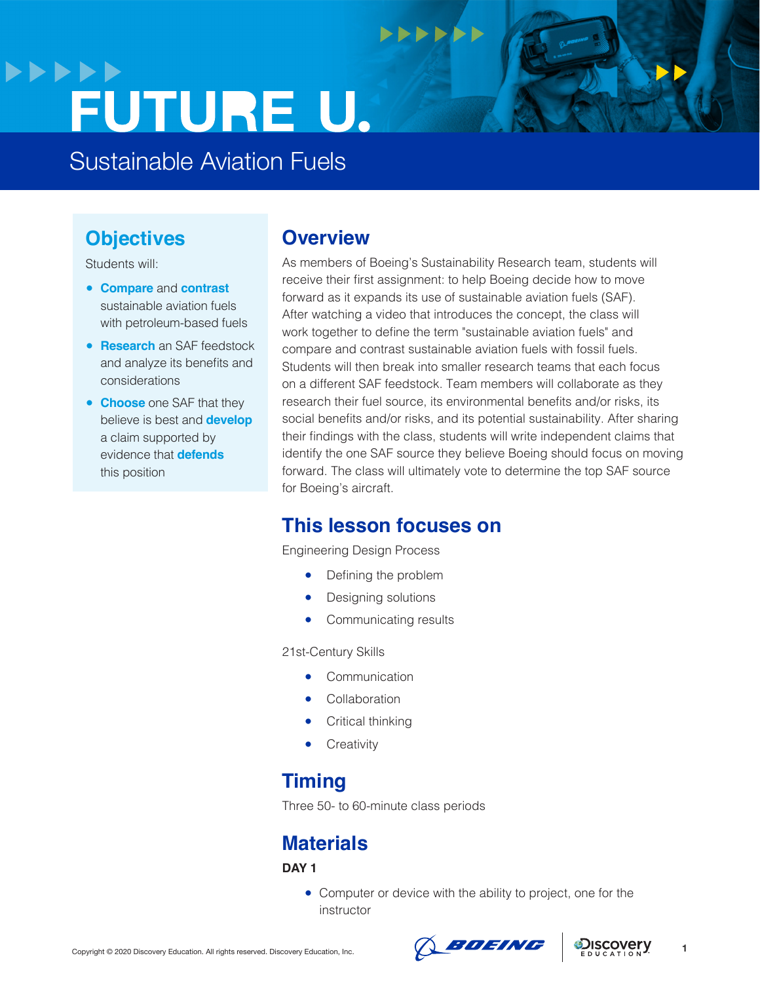## **>>>>>> FUTURE U.**

Sustainable Aviation Fuels

## **Objectives**

Students will:

- **Compare** and **contrast**  sustainable aviation fuels with petroleum-based fuels
- **Research** an SAF feedstock and analyze its benefits and considerations
- **Choose** one SAF that they believe is best and **develop** a claim supported by evidence that **defends**  this position

### **Overview**

As members of Boeing's Sustainability Research team, students will receive their first assignment: to help Boeing decide how to move forward as it expands its use of sustainable aviation fuels (SAF). After watching a video that introduces the concept, the class will work together to define the term "sustainable aviation fuels" and compare and contrast sustainable aviation fuels with fossil fuels. Students will then break into smaller research teams that each focus on a different SAF feedstock. Team members will collaborate as they research their fuel source, its environmental benefits and/or risks, its social benefits and/or risks, and its potential sustainability. After sharing their findings with the class, students will write independent claims that identify the one SAF source they believe Boeing should focus on moving forward. The class will ultimately vote to determine the top SAF source for Boeing's aircraft.

 $\bullet\bullet\bullet\bullet\bullet\bullet$ 

## **This lesson focuses on**

Engineering Design Process

- Defining the problem
- Designing solutions
- Communicating results

21st-Century Skills

- Communication
- Collaboration
- **Critical thinking**
- Creativity

## **Timing**

Three 50- to 60-minute class periods

## **Materials**

**DAY 1**

• Computer or device with the ability to project, one for the instructor

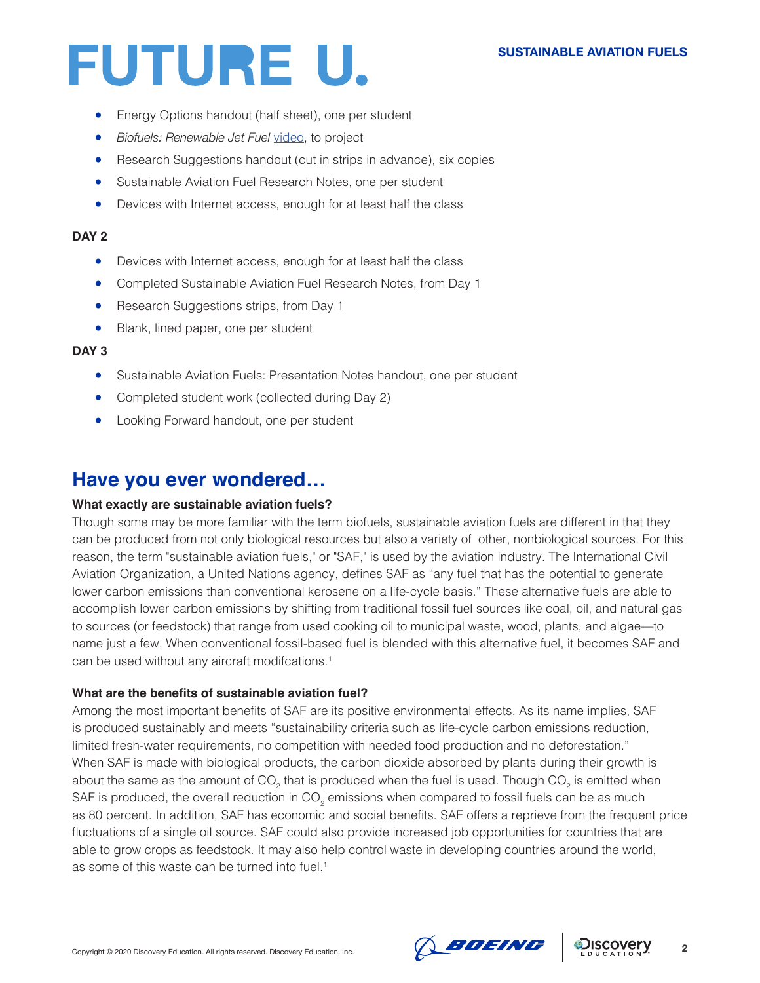- Energy Options handout (half sheet), one per student
- *Biofuels: Renewable Jet Fuel* [video](https://www.youtube.com/watch?v=kKO6TuH_OeQ), to project
- Research Suggestions handout (cut in strips in advance), six copies
- Sustainable Aviation Fuel Research Notes, one per student
- Devices with Internet access, enough for at least half the class

### **DAY 2**

- Devices with Internet access, enough for at least half the class
- Completed Sustainable Aviation Fuel Research Notes, from Day 1
- Research Suggestions strips, from Day 1
- Blank, lined paper, one per student

### **DAY 3**

- Sustainable Aviation Fuels: Presentation Notes handout, one per student
- Completed student work (collected during Day 2)
- Looking Forward handout, one per student

### **Have you ever wondered…**

### **What exactly are sustainable aviation fuels?**

Though some may be more familiar with the term biofuels, sustainable aviation fuels are different in that they can be produced from not only biological resources but also a variety of other, nonbiological sources. For this reason, the term "sustainable aviation fuels," or "SAF," is used by the aviation industry. The International Civil Aviation Organization, a United Nations agency, defines SAF as "any fuel that has the potential to generate lower carbon emissions than conventional kerosene on a life-cycle basis." These alternative fuels are able to accomplish lower carbon emissions by shifting from traditional fossil fuel sources like coal, oil, and natural gas to sources (or feedstock) that range from used cooking oil to municipal waste, wood, plants, and algae—to name just a few. When conventional fossil-based fuel is blended with this alternative fuel, it becomes SAF and can be used without any aircraft modifcations.<sup>1</sup>

### **What are the benefits of sustainable aviation fuel?**

Among the most important benefits of SAF are its positive environmental effects. As its name implies, SAF is produced sustainably and meets "sustainability criteria such as life-cycle carbon emissions reduction, limited fresh-water requirements, no competition with needed food production and no deforestation." When SAF is made with biological products, the carbon dioxide absorbed by plants during their growth is about the same as the amount of CO<sub>2</sub> that is produced when the fuel is used. Though CO<sub>2</sub> is emitted when SAF is produced, the overall reduction in CO<sub>2</sub> emissions when compared to fossil fuels can be as much as 80 percent. In addition, SAF has economic and social benefits. SAF offers a reprieve from the frequent price fluctuations of a single oil source. SAF could also provide increased job opportunities for countries that are able to grow crops as feedstock. It may also help control waste in developing countries around the world, as some of this waste can be turned into fuel.<sup>1</sup>

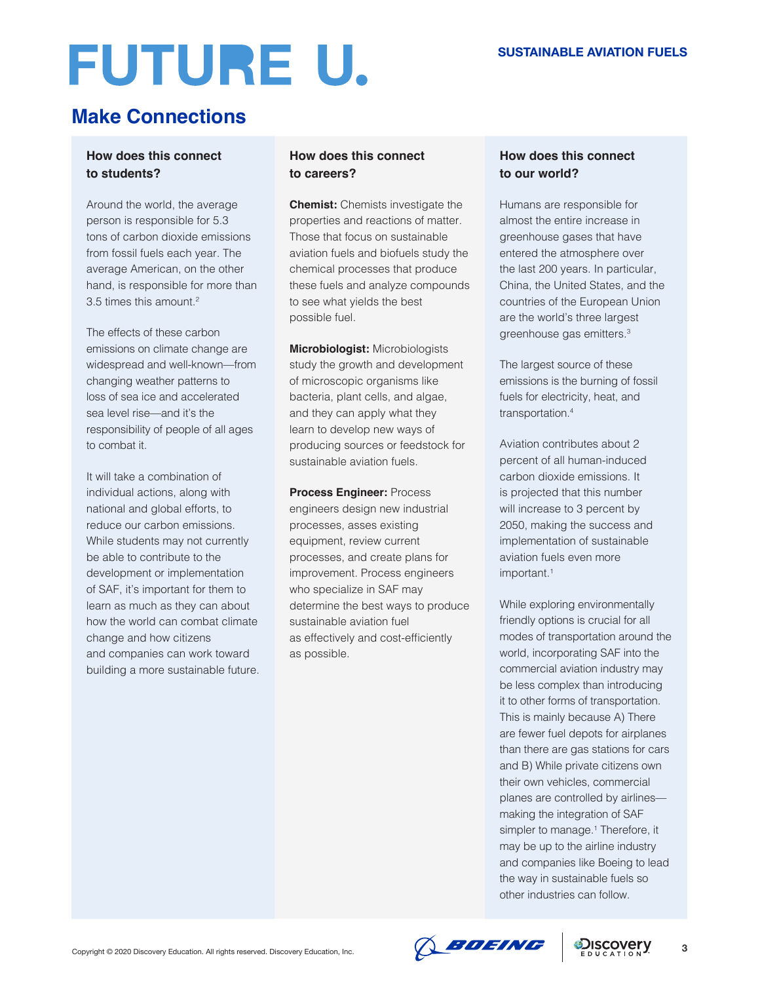## **Make Connections**

### **How does this connect to students?**

Around the world, the average person is responsible for 5.3 tons of carbon dioxide emissions from fossil fuels each year. The average American, on the other hand, is responsible for more than 3.5 times this amount.<sup>2</sup>

The effects of these carbon emissions on climate change are widespread and well-known—from changing weather patterns to loss of sea ice and accelerated sea level rise—and it's the responsibility of people of all ages to combat it.

It will take a combination of individual actions, along with national and global efforts, to reduce our carbon emissions. While students may not currently be able to contribute to the development or implementation of SAF, it's important for them to learn as much as they can about how the world can combat climate change and how citizens and companies can work toward building a more sustainable future.

### **How does this connect to careers?**

**Chemist:** Chemists investigate the properties and reactions of matter. Those that focus on sustainable aviation fuels and biofuels study the chemical processes that produce these fuels and analyze compounds to see what yields the best possible fuel.

**Microbiologist:** Microbiologists study the growth and development of microscopic organisms like bacteria, plant cells, and algae, and they can apply what they learn to develop new ways of producing sources or feedstock for sustainable aviation fuels.

**Process Engineer:** Process engineers design new industrial processes, asses existing equipment, review current processes, and create plans for improvement. Process engineers who specialize in SAF may determine the best ways to produce sustainable aviation fuel as effectively and cost-efficiently as possible.

### **How does this connect to our world?**

Humans are responsible for almost the entire increase in greenhouse gases that have entered the atmosphere over the last 200 years. In particular, China, the United States, and the countries of the European Union are the world's three largest greenhouse gas emitters.3

The largest source of these emissions is the burning of fossil fuels for electricity, heat, and transportation.<sup>4</sup>

Aviation contributes about 2 percent of all human-induced carbon dioxide emissions. It is projected that this number will increase to 3 percent by 2050, making the success and implementation of sustainable aviation fuels even more important.<sup>1</sup>

While exploring environmentally friendly options is crucial for all modes of transportation around the world, incorporating SAF into the commercial aviation industry may be less complex than introducing it to other forms of transportation. This is mainly because A) There are fewer fuel depots for airplanes than there are gas stations for cars and B) While private citizens own their own vehicles, commercial planes are controlled by airlines making the integration of SAF simpler to manage.<sup>1</sup> Therefore, it may be up to the airline industry and companies like Boeing to lead the way in sustainable fuels so other industries can follow.

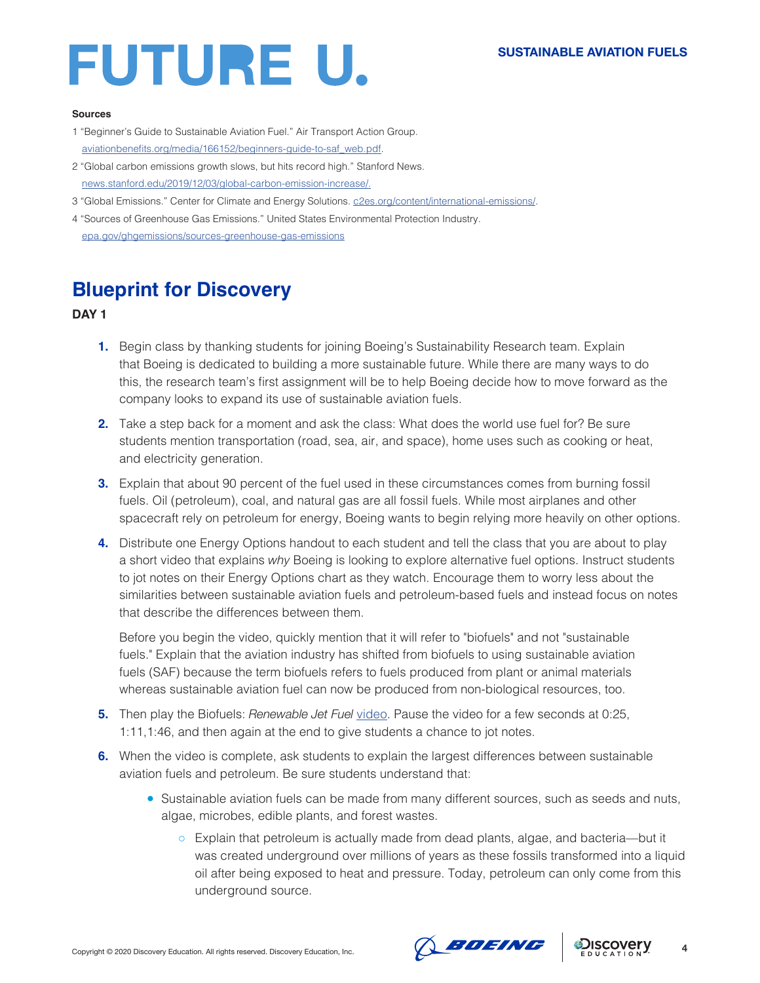#### **Sources**

- 1 "Beginner's Guide to Sustainable Aviation Fuel." Air Transport Action Group. [aviationbenefits.org/media/166152/beginners-guide-to-saf\\_web.pdf](http://aviationbenefits.org/media/166152/beginners-guide-to-saf_web.pdf).
- 2 "Global carbon emissions growth slows, but hits record high." Stanford News. [news.stanford.edu/2019/12/03/global-carbon-emission-increase/.](http://news.stanford.edu/2019/12/03/global-carbon-emission-increase/.)
- 3 "Global Emissions." Center for Climate and Energy Solutions. [c2es.org/content/international-emissions/.](http://c2es.org/content/international-emissions/)
- 4 "Sources of Greenhouse Gas Emissions." United States Environmental Protection Industry. [epa.gov/ghgemissions/sources-greenhouse-gas-emissions](http://epa.gov/ghgemissions/sources-greenhouse-gas-emissions)

## **Blueprint for Discovery**

### **DAY 1**

- **1.** Begin class by thanking students for joining Boeing's Sustainability Research team. Explain that Boeing is dedicated to building a more sustainable future. While there are many ways to do this, the research team's first assignment will be to help Boeing decide how to move forward as the company looks to expand its use of sustainable aviation fuels.
- **2.** Take a step back for a moment and ask the class: What does the world use fuel for? Be sure students mention transportation (road, sea, air, and space), home uses such as cooking or heat, and electricity generation.
- **3.** Explain that about 90 percent of the fuel used in these circumstances comes from burning fossil fuels. Oil (petroleum), coal, and natural gas are all fossil fuels. While most airplanes and other spacecraft rely on petroleum for energy, Boeing wants to begin relying more heavily on other options.
- **4.** Distribute one Energy Options handout to each student and tell the class that you are about to play a short video that explains *why* Boeing is looking to explore alternative fuel options. Instruct students to jot notes on their Energy Options chart as they watch. Encourage them to worry less about the similarities between sustainable aviation fuels and petroleum-based fuels and instead focus on notes that describe the differences between them.

Before you begin the video, quickly mention that it will refer to "biofuels" and not "sustainable fuels." Explain that the aviation industry has shifted from biofuels to using sustainable aviation fuels (SAF) because the term biofuels refers to fuels produced from plant or animal materials whereas sustainable aviation fuel can now be produced from non-biological resources, too.

- **5.** Then play the Biofuels: *Renewable Jet Fuel* [video](https://www.youtube.com/watch?v=kKO6TuH_OeQ). Pause the video for a few seconds at 0:25, 1:11,1:46, and then again at the end to give students a chance to jot notes.
- **6.** When the video is complete, ask students to explain the largest differences between sustainable aviation fuels and petroleum. Be sure students understand that:
	- Sustainable aviation fuels can be made from many different sources, such as seeds and nuts, algae, microbes, edible plants, and forest wastes.
		- Explain that petroleum is actually made from dead plants, algae, and bacteria—but it was created underground over millions of years as these fossils transformed into a liquid oil after being exposed to heat and pressure. Today, petroleum can only come from this underground source.



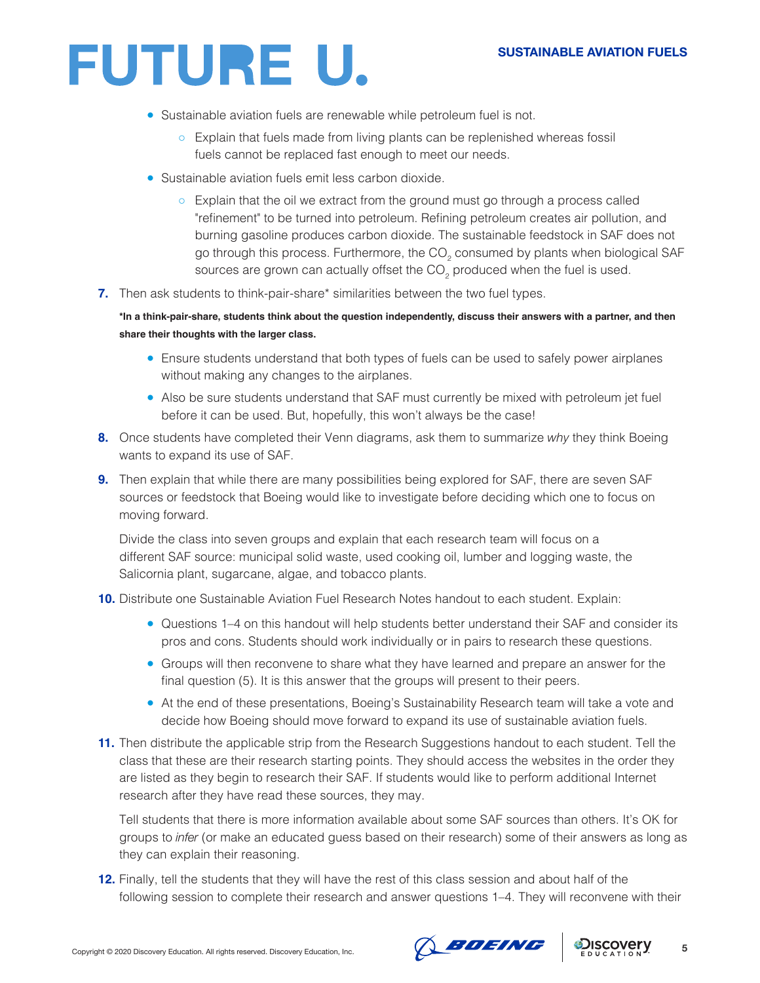- Sustainable aviation fuels are renewable while petroleum fuel is not.
	- Explain that fuels made from living plants can be replenished whereas fossil fuels cannot be replaced fast enough to meet our needs.
- Sustainable aviation fuels emit less carbon dioxide.
	- Explain that the oil we extract from the ground must go through a process called "refinement" to be turned into petroleum. Refining petroleum creates air pollution, and burning gasoline produces carbon dioxide. The sustainable feedstock in SAF does not go through this process. Furthermore, the CO<sub>2</sub> consumed by plants when biological SAF sources are grown can actually offset the CO<sub>2</sub> produced when the fuel is used.
- **7.** Then ask students to think-pair-share\* similarities between the two fuel types.

**\*In a think-pair-share, students think about the question independently, discuss their answers with a partner, and then share their thoughts with the larger class.**

- Ensure students understand that both types of fuels can be used to safely power airplanes without making any changes to the airplanes.
- Also be sure students understand that SAF must currently be mixed with petroleum jet fuel before it can be used. But, hopefully, this won't always be the case!
- **8.** Once students have completed their Venn diagrams, ask them to summarize *why* they think Boeing wants to expand its use of SAF.
- **9.** Then explain that while there are many possibilities being explored for SAF, there are seven SAF sources or feedstock that Boeing would like to investigate before deciding which one to focus on moving forward.

Divide the class into seven groups and explain that each research team will focus on a different SAF source: municipal solid waste, used cooking oil, lumber and logging waste, the Salicornia plant, sugarcane, algae, and tobacco plants.

**10.** Distribute one Sustainable Aviation Fuel Research Notes handout to each student. Explain:

- Questions 1–4 on this handout will help students better understand their SAF and consider its pros and cons. Students should work individually or in pairs to research these questions.
- Groups will then reconvene to share what they have learned and prepare an answer for the final question (5). It is this answer that the groups will present to their peers.
- At the end of these presentations, Boeing's Sustainability Research team will take a vote and decide how Boeing should move forward to expand its use of sustainable aviation fuels.
- **11.** Then distribute the applicable strip from the Research Suggestions handout to each student. Tell the class that these are their research starting points. They should access the websites in the order they are listed as they begin to research their SAF. If students would like to perform additional Internet research after they have read these sources, they may.

Tell students that there is more information available about some SAF sources than others. It's OK for groups to *infer* (or make an educated guess based on their research) some of their answers as long as they can explain their reasoning.

**12.** Finally, tell the students that they will have the rest of this class session and about half of the following session to complete their research and answer questions 1–4. They will reconvene with their



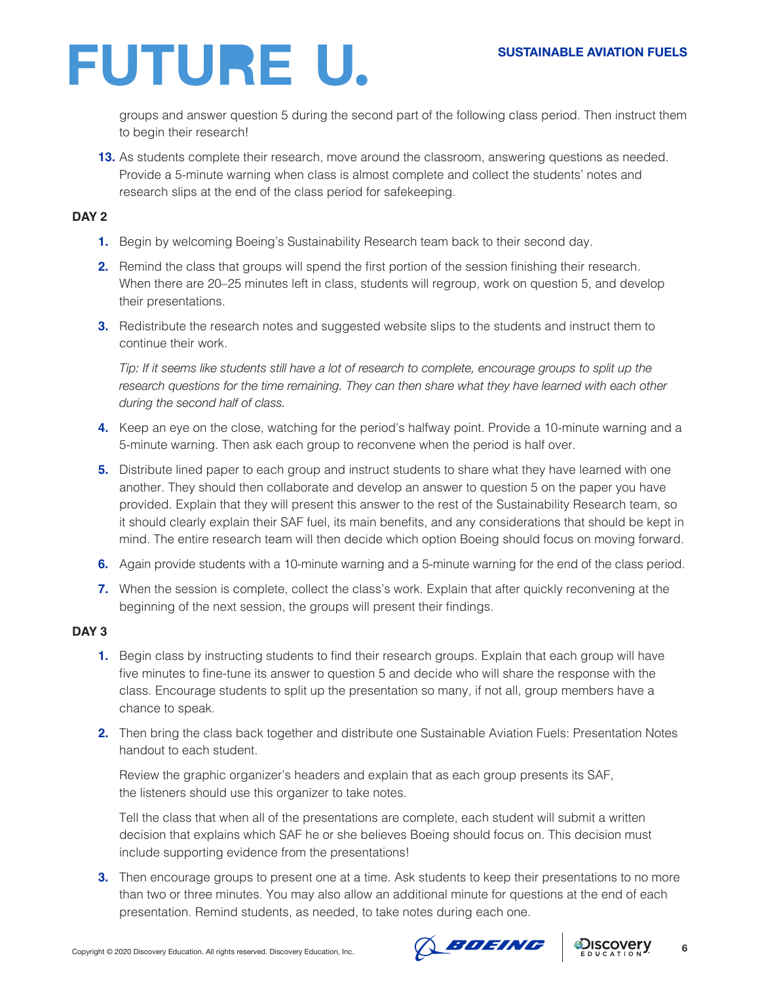groups and answer question 5 during the second part of the following class period. Then instruct them to begin their research!

**13.** As students complete their research, move around the classroom, answering questions as needed. Provide a 5-minute warning when class is almost complete and collect the students' notes and research slips at the end of the class period for safekeeping.

### **DAY 2**

- **1.** Begin by welcoming Boeing's Sustainability Research team back to their second day.
- **2.** Remind the class that groups will spend the first portion of the session finishing their research. When there are 20–25 minutes left in class, students will regroup, work on question 5, and develop their presentations.
- **3.** Redistribute the research notes and suggested website slips to the students and instruct them to continue their work.

*Tip: If it seems like students still have a lot of research to complete, encourage groups to split up the*  research questions for the time remaining. They can then share what they have learned with each other *during the second half of class.*

- **4.** Keep an eye on the close, watching for the period's halfway point. Provide a 10-minute warning and a 5-minute warning. Then ask each group to reconvene when the period is half over.
- **5.** Distribute lined paper to each group and instruct students to share what they have learned with one another. They should then collaborate and develop an answer to question 5 on the paper you have provided. Explain that they will present this answer to the rest of the Sustainability Research team, so it should clearly explain their SAF fuel, its main benefits, and any considerations that should be kept in mind. The entire research team will then decide which option Boeing should focus on moving forward.
- **6.** Again provide students with a 10-minute warning and a 5-minute warning for the end of the class period.
- **7.** When the session is complete, collect the class's work. Explain that after quickly reconvening at the beginning of the next session, the groups will present their findings.

### **DAY 3**

- **1.** Begin class by instructing students to find their research groups. Explain that each group will have five minutes to fine-tune its answer to question 5 and decide who will share the response with the class. Encourage students to split up the presentation so many, if not all, group members have a chance to speak.
- **2.** Then bring the class back together and distribute one Sustainable Aviation Fuels: Presentation Notes handout to each student.

Review the graphic organizer's headers and explain that as each group presents its SAF, the listeners should use this organizer to take notes.

Tell the class that when all of the presentations are complete, each student will submit a written decision that explains which SAF he or she believes Boeing should focus on. This decision must include supporting evidence from the presentations!

**3.** Then encourage groups to present one at a time. Ask students to keep their presentations to no more than two or three minutes. You may also allow an additional minute for questions at the end of each presentation. Remind students, as needed, to take notes during each one.



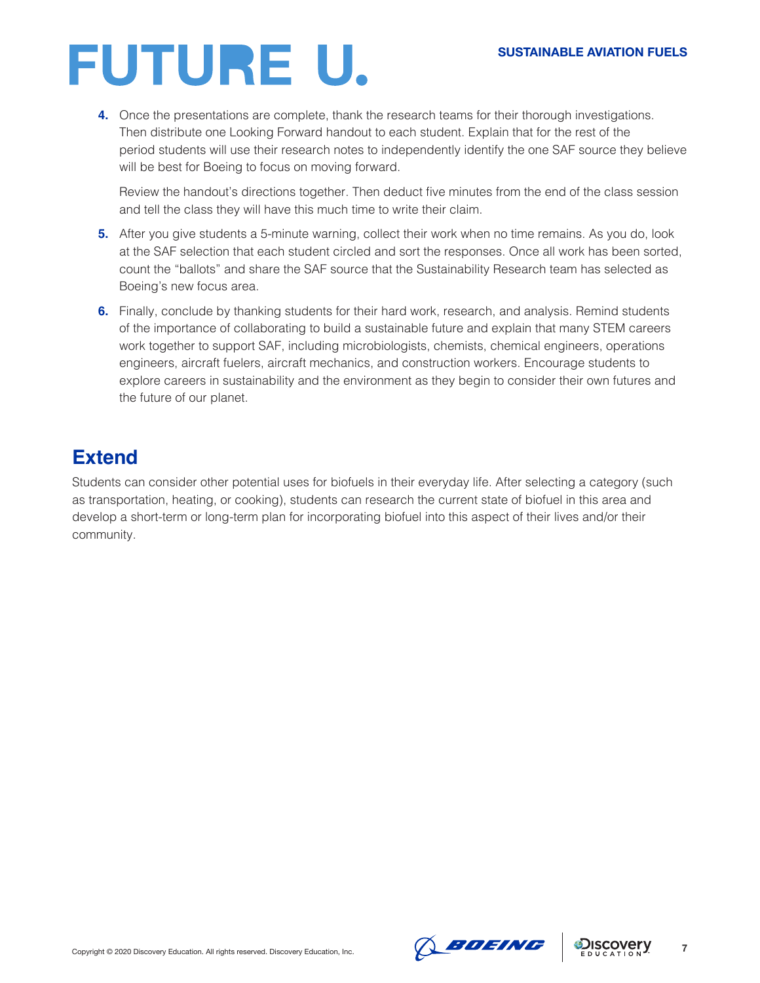**4.** Once the presentations are complete, thank the research teams for their thorough investigations. Then distribute one Looking Forward handout to each student. Explain that for the rest of the period students will use their research notes to independently identify the one SAF source they believe will be best for Boeing to focus on moving forward.

Review the handout's directions together. Then deduct five minutes from the end of the class session and tell the class they will have this much time to write their claim.

- **5.** After you give students a 5-minute warning, collect their work when no time remains. As you do, look at the SAF selection that each student circled and sort the responses. Once all work has been sorted, count the "ballots" and share the SAF source that the Sustainability Research team has selected as Boeing's new focus area.
- **6.** Finally, conclude by thanking students for their hard work, research, and analysis. Remind students of the importance of collaborating to build a sustainable future and explain that many STEM careers work together to support SAF, including microbiologists, chemists, chemical engineers, operations engineers, aircraft fuelers, aircraft mechanics, and construction workers. Encourage students to explore careers in sustainability and the environment as they begin to consider their own futures and the future of our planet.

## **Extend**

Students can consider other potential uses for biofuels in their everyday life. After selecting a category (such as transportation, heating, or cooking), students can research the current state of biofuel in this area and develop a short-term or long-term plan for incorporating biofuel into this aspect of their lives and/or their community.



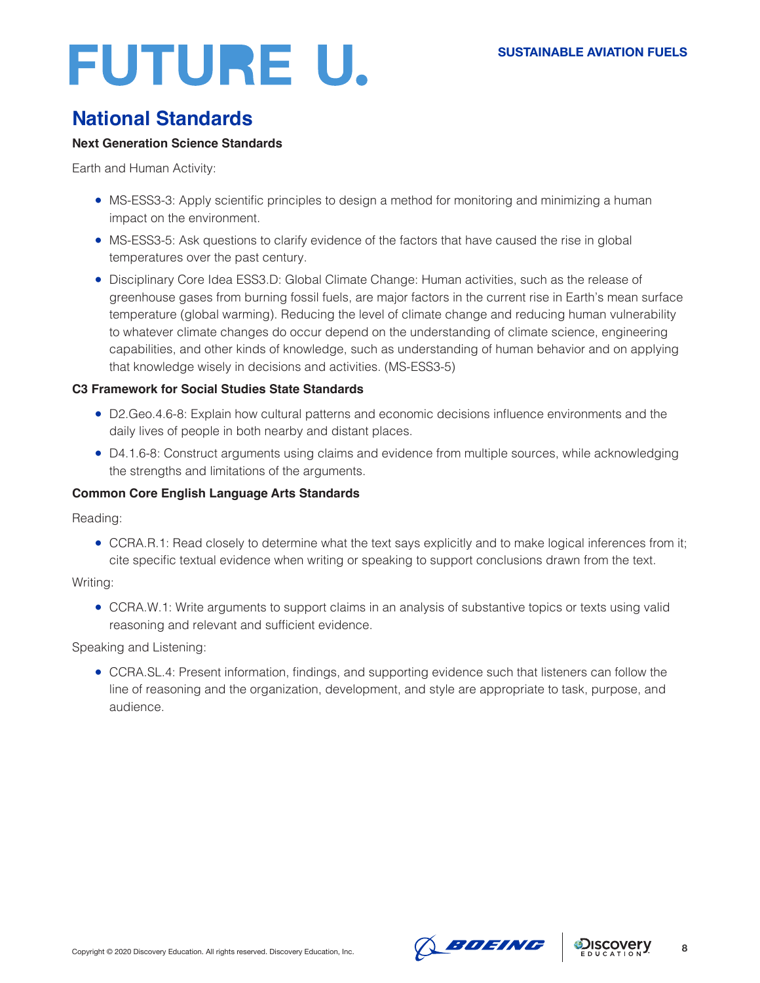## **National Standards**

### **Next Generation Science Standards**

Earth and Human Activity:

- MS-ESS3-3: Apply scientific principles to design a method for monitoring and minimizing a human impact on the environment.
- MS-ESS3-5: Ask questions to clarify evidence of the factors that have caused the rise in global temperatures over the past century.
- Disciplinary Core Idea ESS3.D: Global Climate Change: Human activities, such as the release of greenhouse gases from burning fossil fuels, are major factors in the current rise in Earth's mean surface temperature (global warming). Reducing the level of climate change and reducing human vulnerability to whatever climate changes do occur depend on the understanding of climate science, engineering capabilities, and other kinds of knowledge, such as understanding of human behavior and on applying that knowledge wisely in decisions and activities. (MS-ESS3-5)

### **C3 Framework for Social Studies State Standards**

- D2.Geo.4.6-8: Explain how cultural patterns and economic decisions influence environments and the daily lives of people in both nearby and distant places.
- D4.1.6-8: Construct arguments using claims and evidence from multiple sources, while acknowledging the strengths and limitations of the arguments.

### **Common Core English Language Arts Standards**

Reading:

• CCRA.R.1: Read closely to determine what the text says explicitly and to make logical inferences from it; cite specific textual evidence when writing or speaking to support conclusions drawn from the text.

### Writing:

• CCRA.W.1: Write arguments to support claims in an analysis of substantive topics or texts using valid reasoning and relevant and sufficient evidence.

### Speaking and Listening:

● CCRA.SL.4: Present information, findings, and supporting evidence such that listeners can follow the line of reasoning and the organization, development, and style are appropriate to task, purpose, and audience.



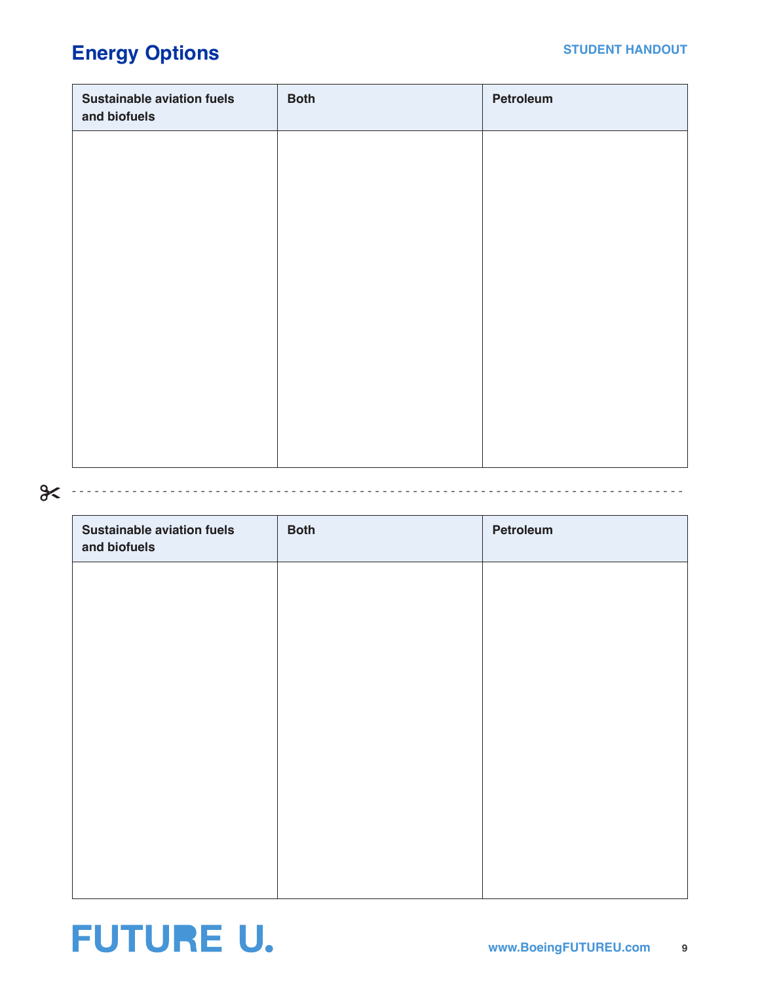## **Energy Options**

| <b>Sustainable aviation fuels</b><br>and biofuels | <b>Both</b> | Petroleum |
|---------------------------------------------------|-------------|-----------|
|                                                   |             |           |
|                                                   |             |           |
|                                                   |             |           |
|                                                   |             |           |
|                                                   |             |           |
|                                                   |             |           |
|                                                   |             |           |
|                                                   |             |           |

## - - - - - - - - - - - - - - - - - - - - - - - - - - - - - - - - - - - - - - - - - - - - - - - - - - - - - - - - - - - - - - - - - - - - - - - - - - - - - - - - -

| <b>Sustainable aviation fuels</b><br>and biofuels | <b>Both</b> | Petroleum |
|---------------------------------------------------|-------------|-----------|
|                                                   |             |           |
|                                                   |             |           |
|                                                   |             |           |
|                                                   |             |           |
|                                                   |             |           |
|                                                   |             |           |
|                                                   |             |           |
|                                                   |             |           |

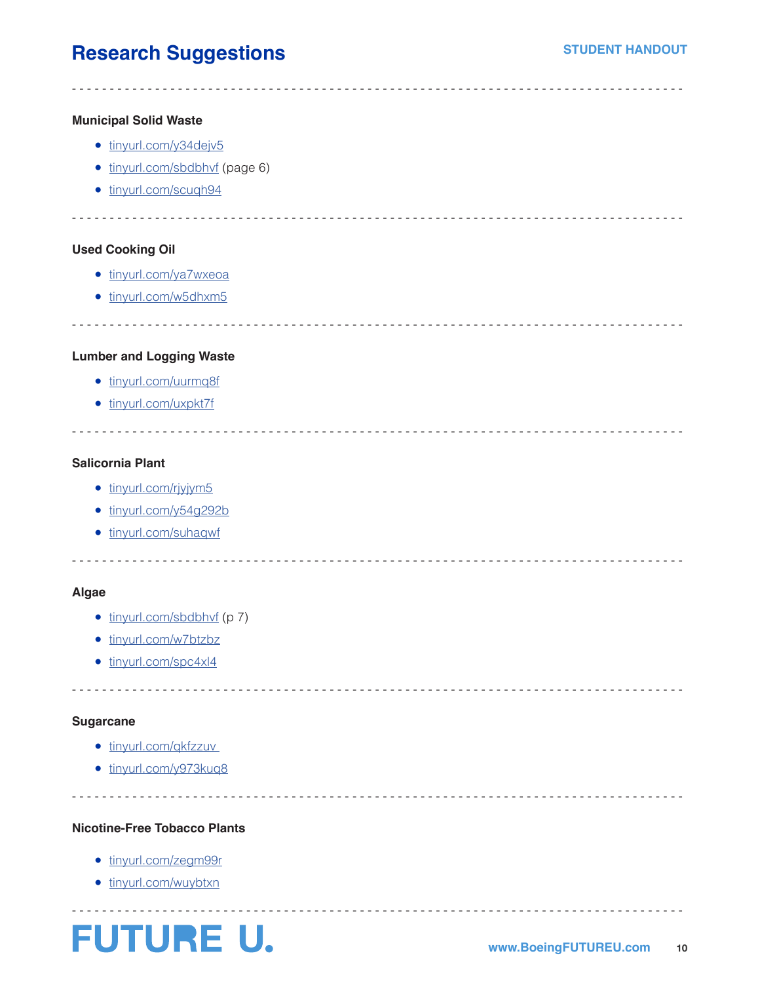## **Research Suggestions**

### **Municipal Solid Waste**

- [tinyurl.com/y34dejv5](http://tinyurl.com/y34dejv5)
- [tinyurl.com/sbdbhvf](http://tinyurl.com/sbdbhvf) (page 6)
- [tinyurl.com/scuqh94](http://tinyurl.com/scuqh94)

- - - - - - - - - - - - - - - - - - - - - - - - - - - - - - - - - - - - - - - - - - - - - - - - - - - - - - - - - - - - - - - - - - - - - - - - - - - - - - - - -

- - - - - - - - - - - - - - - - - - - - - - - - - - - - - - - - - - - - - - - - - - - - - - - - - - - - - - - - - - - - - - - - - - - - - - - - - - - - - - - - -

- - - - - - - - - - - - - - - - - - - - - - - - - - - - - - - - - - - - - - - - - - - - - - - - - - - - - - - - - - - - - - - - - - - - - - - - - - - - - - - - -

### **Used Cooking Oil**

- [tinyurl.com/ya7wxeoa](http://tinyurl.com/ya7wxeoa)
- [tinyurl.com/w5dhxm5](http://tinyurl.com/w5dhxm5)

### **Lumber and Logging Waste**

- [tinyurl.com/uurmq8f](http://tinyurl.com/uurmq8f)
- [tinyurl.com/uxpkt7f](http://tinyurl.com/uxpkt7f)

### **Salicornia Plant**

- [tinyurl.com/rjyjym5](http://tinyurl.com/rjyjym5)
- [tinyurl.com/y54g292b](http://tinyurl.com/y54g292b)
- [tinyurl.com/suhaqwf](http://tinyurl.com/suhaqwf)

### - - - - - - - - - - - - - - - - - - - - - - - - - - - - - - - - - - - - - - - - - - - - - - - - - - - - - - - - - - - - - - - - - - - - - - - - - - - - - - - - -

- - - - - - - - - - - - - - - - - - - - - - - - - - - - - - - - - - - - - - - - - - - - - - - - - - - - - - - - - - - - - - - - - - - - - - - - - - - - - - - - -

- - - - - - - - - - - - - - - - - - - - - - - - - - - - - - - - - - - - - - - - - - - - - - - - - - - - - - - - - - - - - - - - - - - - - - - - - - - - - - - - -

- - - - - - - - - - - - - - - - - - - - - - - - - - - - - - - - - - - - - - - - - - - - - - - - - - - - - - - - - - - - - - - - - - - - - - - - - - - - - - - - -

### **Algae**

- [tinyurl.com/sbdbhvf](http://tinyurl.com/sbdbhvf) (p 7)
- [tinyurl.com/w7btzbz](http://tinyurl.com/w7btzbz)
- [tinyurl.com/spc4xl4](http://tinyurl.com/spc4xl4)

### **Sugarcane**

- tinyurl.com/qkfzzuv
- [tinyurl.com/y973kuq8](http://tinyurl.com/y973kuq8)

### **Nicotine-Free Tobacco Plants**

- [tinyurl.com/zegm99r](http://tinyurl.com/zegm99r)
- [tinyurl.com/wuybtxn](http://tinyurl.com/wuybtxn)



- - - - - - - - - - - - - - - - - - - - - - - - - - - - - - - - - - - - - - - - - - - - - - - - - - - - - - - - - - - - - - - - - - - - - - - - - - - - - - - - -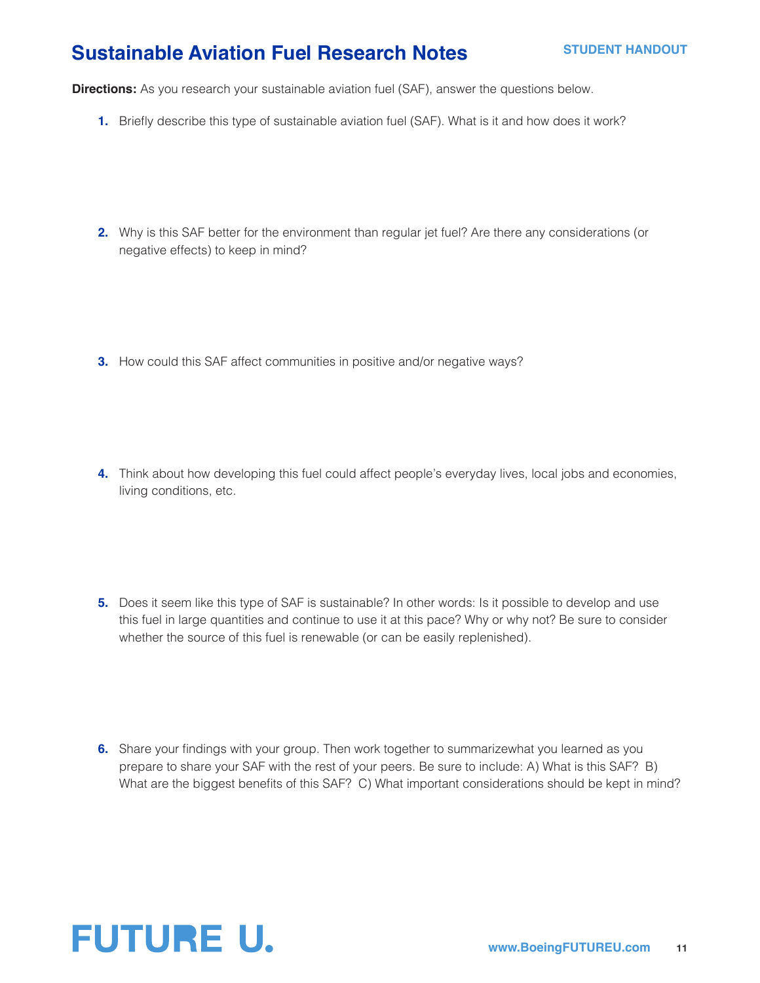## **Sustainable Aviation Fuel Research Notes**

**Directions:** As you research your sustainable aviation fuel (SAF), answer the questions below.

- **1.** Briefly describe this type of sustainable aviation fuel (SAF). What is it and how does it work?
- **2.** Why is this SAF better for the environment than regular jet fuel? Are there any considerations (or negative effects) to keep in mind?
- **3.** How could this SAF affect communities in positive and/or negative ways?
- **4.** Think about how developing this fuel could affect people's everyday lives, local jobs and economies, living conditions, etc.
- **5.** Does it seem like this type of SAF is sustainable? In other words: Is it possible to develop and use this fuel in large quantities and continue to use it at this pace? Why or why not? Be sure to consider whether the source of this fuel is renewable (or can be easily replenished).
- **6.** Share your findings with your group. Then work together to summarizewhat you learned as you prepare to share your SAF with the rest of your peers. Be sure to include: A) What is this SAF? B) What are the biggest benefits of this SAF? C) What important considerations should be kept in mind?

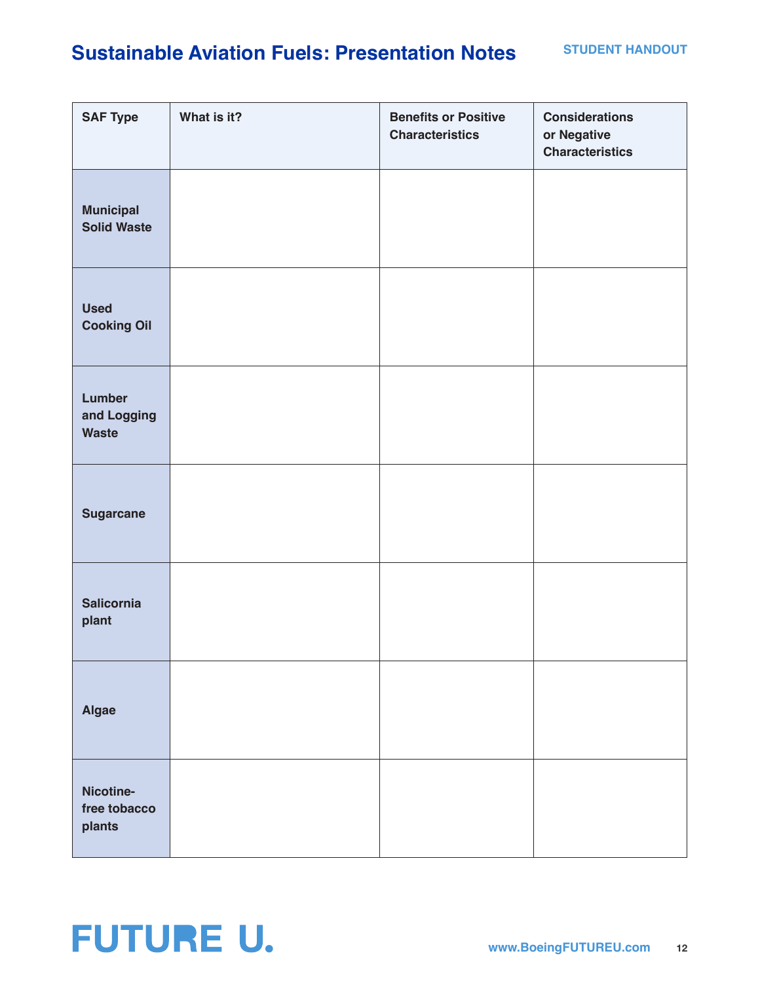## **Sustainable Aviation Fuels: Presentation Notes**

| <b>SAF Type</b>                        | What is it? | <b>Benefits or Positive</b><br><b>Characteristics</b> | <b>Considerations</b><br>or Negative<br><b>Characteristics</b> |
|----------------------------------------|-------------|-------------------------------------------------------|----------------------------------------------------------------|
| <b>Municipal</b><br><b>Solid Waste</b> |             |                                                       |                                                                |
| <b>Used</b><br><b>Cooking Oil</b>      |             |                                                       |                                                                |
| Lumber<br>and Logging<br><b>Waste</b>  |             |                                                       |                                                                |
| <b>Sugarcane</b>                       |             |                                                       |                                                                |
| <b>Salicornia</b><br>plant             |             |                                                       |                                                                |
| Algae                                  |             |                                                       |                                                                |
| Nicotine-<br>free tobacco<br>plants    |             |                                                       |                                                                |